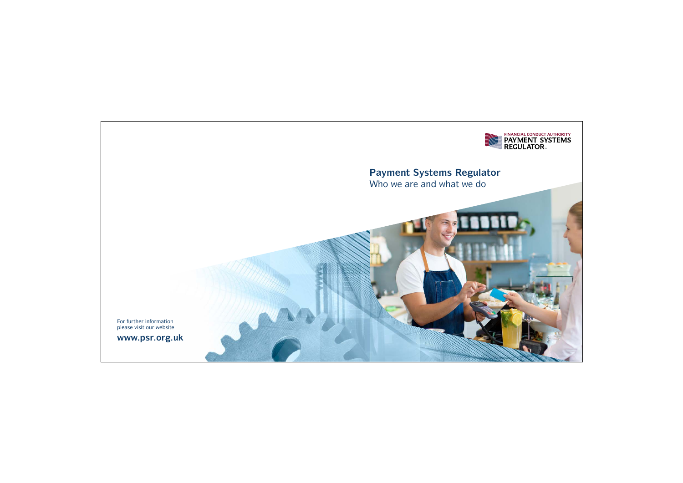

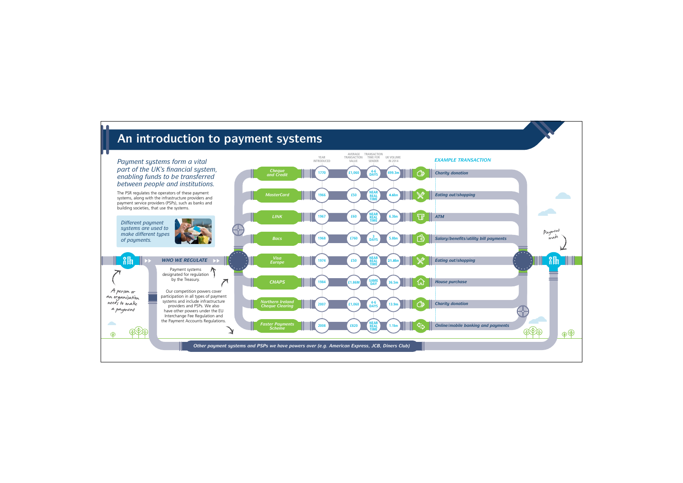